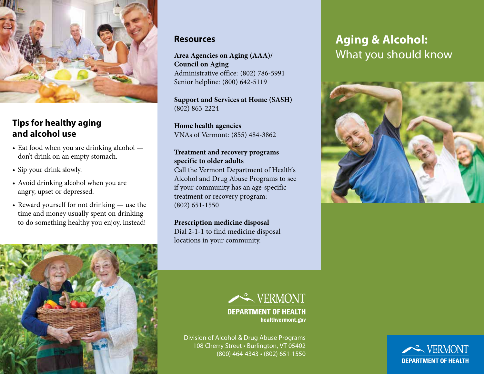

## **Tips for healthy aging and alcohol use**

- Eat food when you are drinking alcohol don't drink on an empty stomach.
- Sip your drink slowly.
- Avoid drinking alcohol when you are angry, upset or depressed.
- Reward yourself for not drinking use the time and money usually spent on drinking to do something healthy you enjoy, instead!



#### **Resources**

**Area Agencies on Aging (AAA)/ Council on Aging** Administrative office: (802) 786-5991 Senior helpline: (800) 642-5119

**Support and Services at Home (SASH)** (802) 863-2224

**Home health agencies** VNAs of Vermont: (855) 484-3862

#### **Treatment and recovery programs specific to older adults**

Call the Vermont Department of Health's Alcohol and Drug Abuse Programs to see if your community has an age-specific treatment or recovery program: (802) 651-1550

#### **Prescription medicine disposal** Dial 2-1-1 to find medicine disposal locations in your community.







Division of Alcohol & Drug Abuse Programs 108 Cherry Street • Burlington, VT 05402 (800) 464-4343 • (802) 651-1550